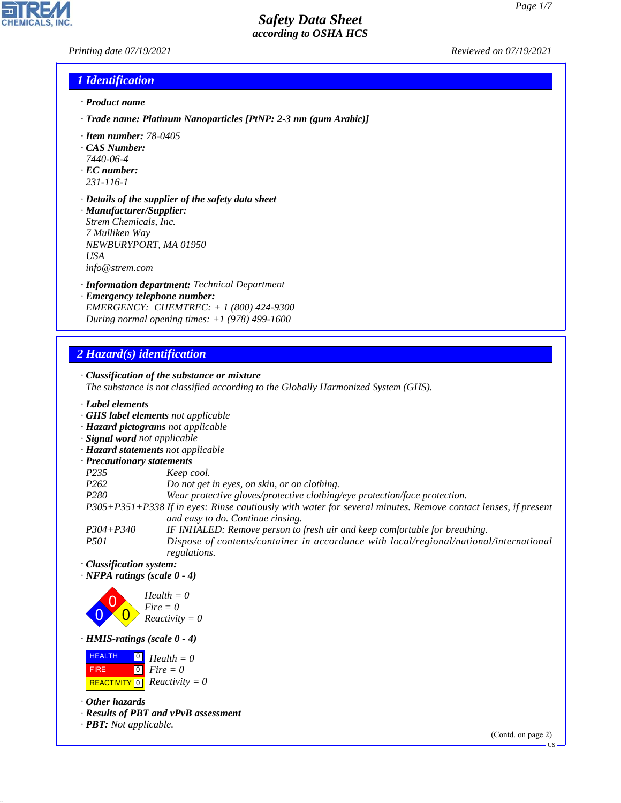*Printing date 07/19/2021 Reviewed on 07/19/2021*

### *1 Identification*

- *· Product name*
- *· Trade name: Platinum Nanoparticles [PtNP: 2-3 nm (gum Arabic)]*
- *· Item number: 78-0405*
- *· CAS Number:*
- *7440-06-4*
- *· EC number: 231-116-1*
- 
- *· Details of the supplier of the safety data sheet · Manufacturer/Supplier: Strem Chemicals, Inc. 7 Mulliken Way*
- *NEWBURYPORT, MA 01950 USA info@strem.com*
- *· Information department: Technical Department*
- *· Emergency telephone number: EMERGENCY: CHEMTREC: + 1 (800) 424-9300 During normal opening times: +1 (978) 499-1600*

## *2 Hazard(s) identification*

*· Classification of the substance or mixture The substance is not classified according to the Globally Harmonized System (GHS). · Label elements · GHS label elements not applicable · Hazard pictograms not applicable · Signal word not applicable · Hazard statements not applicable · Precautionary statements P235 Keep cool. P262 Do not get in eyes, on skin, or on clothing. P280 Wear protective gloves/protective clothing/eye protection/face protection. P305+P351+P338 If in eyes: Rinse cautiously with water for several minutes. Remove contact lenses, if present and easy to do. Continue rinsing. P304+P340 IF INHALED: Remove person to fresh air and keep comfortable for breathing. P501 Dispose of contents/container in accordance with local/regional/national/international regulations. · Classification system: · NFPA ratings (scale 0 - 4)* 0 0  $\overline{\mathbf{0}}$ *Health = 0 Fire = 0 Reactivity = 0*

*· HMIS-ratings (scale 0 - 4)*

 HEALTH FIRE  $\boxed{\text{REACTIVITY} \boxed{0}}$  Reactivity = 0 0 *Health = 0* 0 *Fire = 0*

*· Other hazards*

44.1.1

*· Results of PBT and vPvB assessment*

*· PBT: Not applicable.*

(Contd. on page 2)

US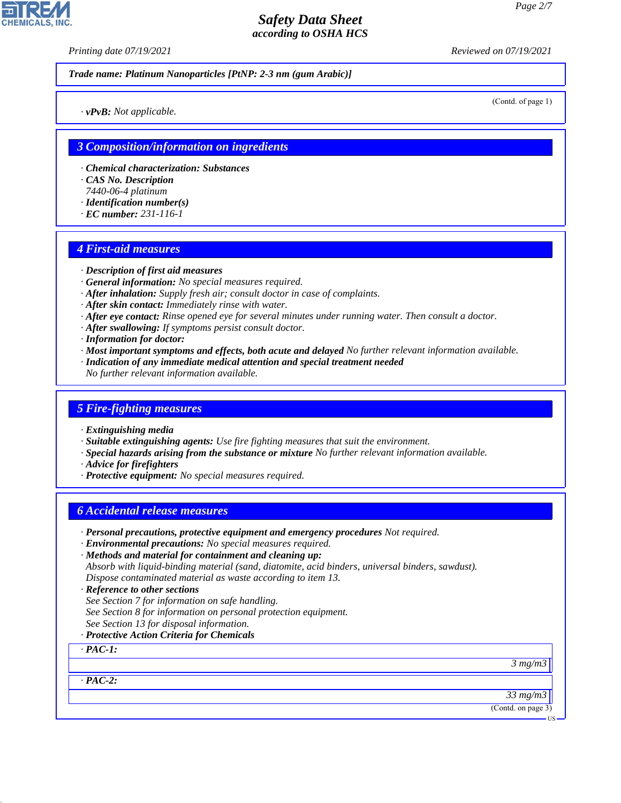*Printing date 07/19/2021 Reviewed on 07/19/2021*

*Trade name: Platinum Nanoparticles [PtNP: 2-3 nm (gum Arabic)]*

(Contd. of page 1)

*· vPvB: Not applicable.*

### *3 Composition/information on ingredients*

- *· Chemical characterization: Substances*
- *· CAS No. Description*
- *7440-06-4 platinum*
- *· Identification number(s)*
- *· EC number: 231-116-1*

### *4 First-aid measures*

- *· Description of first aid measures*
- *· General information: No special measures required.*
- *· After inhalation: Supply fresh air; consult doctor in case of complaints.*
- *· After skin contact: Immediately rinse with water.*
- *· After eye contact: Rinse opened eye for several minutes under running water. Then consult a doctor.*
- *· After swallowing: If symptoms persist consult doctor.*
- *· Information for doctor:*
- *· Most important symptoms and effects, both acute and delayed No further relevant information available.*
- *· Indication of any immediate medical attention and special treatment needed*
- *No further relevant information available.*

### *5 Fire-fighting measures*

- *· Extinguishing media*
- *· Suitable extinguishing agents: Use fire fighting measures that suit the environment.*
- *· Special hazards arising from the substance or mixture No further relevant information available.*
- *· Advice for firefighters*
- *· Protective equipment: No special measures required.*

### *6 Accidental release measures*

- *· Personal precautions, protective equipment and emergency procedures Not required.*
- *· Environmental precautions: No special measures required.*
- *· Methods and material for containment and cleaning up: Absorb with liquid-binding material (sand, diatomite, acid binders, universal binders, sawdust). Dispose contaminated material as waste according to item 13.*
- *· Reference to other sections*
- *See Section 7 for information on safe handling.*
- *See Section 8 for information on personal protection equipment.*
- *See Section 13 for disposal information.*
- *· Protective Action Criteria for Chemicals*

*· PAC-1:*

*3 mg/m3*

*· PAC-2:*

44.1.1

*33 mg/m3*

(Contd. on page 3)

US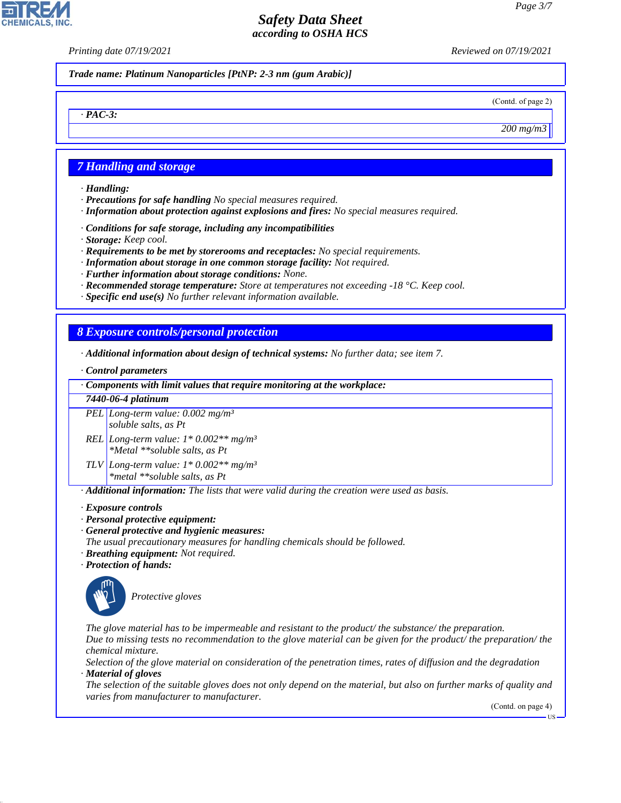*Printing date 07/19/2021 Reviewed on 07/19/2021*

*Trade name: Platinum Nanoparticles [PtNP: 2-3 nm (gum Arabic)]*

(Contd. of page 2)

*200 mg/m3*

## *7 Handling and storage*

*· Handling:*

*· PAC-3:*

**CHEMICALS, INC** 

- *· Precautions for safe handling No special measures required.*
- *· Information about protection against explosions and fires: No special measures required.*
- *· Conditions for safe storage, including any incompatibilities*
- *· Storage: Keep cool.*
- *· Requirements to be met by storerooms and receptacles: No special requirements.*
- *· Information about storage in one common storage facility: Not required.*
- *· Further information about storage conditions: None.*
- *· Recommended storage temperature: Store at temperatures not exceeding -18 °C. Keep cool.*
- *· Specific end use(s) No further relevant information available.*

## *8 Exposure controls/personal protection*

- *· Additional information about design of technical systems: No further data; see item 7.*
- *· Control parameters*

*· Components with limit values that require monitoring at the workplace:*

*7440-06-4 platinum*

*PEL Long-term value: 0.002 mg/m³ soluble salts, as Pt*

- *REL Long-term value: 1\* 0.002\*\* mg/m³ \*Metal \*\*soluble salts, as Pt*
- *TLV Long-term value: 1\* 0.002\*\* mg/m³ \*metal \*\*soluble salts, as Pt*

*· Additional information: The lists that were valid during the creation were used as basis.*

- *· Exposure controls*
- *· Personal protective equipment:*
- *· General protective and hygienic measures:*
- *The usual precautionary measures for handling chemicals should be followed.*
- *· Breathing equipment: Not required.*
- *· Protection of hands:*



44.1.1

\_S*Protective gloves*

*The glove material has to be impermeable and resistant to the product/ the substance/ the preparation. Due to missing tests no recommendation to the glove material can be given for the product/ the preparation/ the chemical mixture.*

*Selection of the glove material on consideration of the penetration times, rates of diffusion and the degradation · Material of gloves*

*The selection of the suitable gloves does not only depend on the material, but also on further marks of quality and varies from manufacturer to manufacturer.*

(Contd. on page 4)

US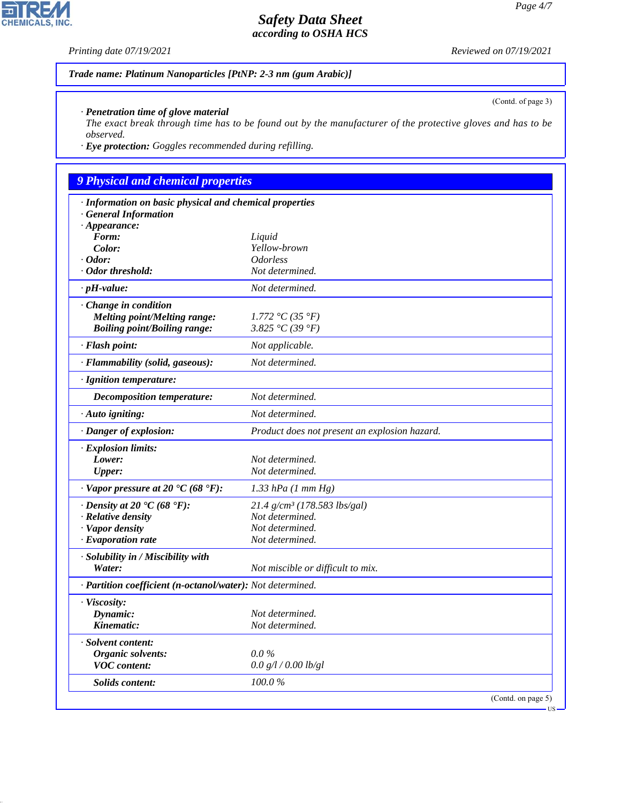*Printing date 07/19/2021 Reviewed on 07/19/2021*

*Trade name: Platinum Nanoparticles [PtNP: 2-3 nm (gum Arabic)]*

*· Penetration time of glove material*

*The exact break through time has to be found out by the manufacturer of the protective gloves and has to be observed.*

*· Eye protection: Goggles recommended during refilling.*

## *9 Physical and chemical properties*

| · Information on basic physical and chemical properties    |                                               |                    |
|------------------------------------------------------------|-----------------------------------------------|--------------------|
| <b>General Information</b>                                 |                                               |                    |
| $\cdot$ Appearance:<br>Form:                               |                                               |                    |
| Color:                                                     | Liquid<br>Yellow-brown                        |                    |
| $\cdot$ Odor:                                              | <i><b>Odorless</b></i>                        |                    |
| · Odor threshold:                                          | Not determined.                               |                    |
| $\cdot$ pH-value:                                          | Not determined.                               |                    |
| · Change in condition                                      |                                               |                    |
| <b>Melting point/Melting range:</b>                        | 1.772 °C (35 °F)                              |                    |
| <b>Boiling point/Boiling range:</b>                        | 3.825 °C (39 °F)                              |                    |
| · Flash point:                                             | Not applicable.                               |                    |
| · Flammability (solid, gaseous):                           | Not determined.                               |                    |
| · Ignition temperature:                                    |                                               |                    |
| <b>Decomposition temperature:</b>                          | Not determined.                               |                    |
| · Auto igniting:                                           | Not determined.                               |                    |
| · Danger of explosion:                                     | Product does not present an explosion hazard. |                    |
| · Explosion limits:                                        |                                               |                    |
| Lower:                                                     | Not determined.                               |                    |
| <b>Upper:</b>                                              | Not determined.                               |                    |
| $\cdot$ Vapor pressure at 20 $\cdot$ C (68 $\cdot$ F):     | $1.33$ hPa $(1 \text{ mm Hg})$                |                    |
| $\cdot$ Density at 20 $\cdot$ C (68 $\cdot$ F):            | $21.4$ g/cm <sup>3</sup> (178.583 lbs/gal)    |                    |
| · Relative density                                         | Not determined.                               |                    |
| · Vapor density                                            | Not determined.                               |                    |
| $\cdot$ Evaporation rate                                   | Not determined.                               |                    |
| · Solubility in / Miscibility with                         |                                               |                    |
| Water:                                                     | Not miscible or difficult to mix.             |                    |
| · Partition coefficient (n-octanol/water): Not determined. |                                               |                    |
| · Viscosity:                                               |                                               |                    |
| Dynamic:                                                   | Not determined.                               |                    |
| Kinematic:                                                 | Not determined.                               |                    |
| · Solvent content:                                         |                                               |                    |
| Organic solvents:                                          | $0.0\%$                                       |                    |
| <b>VOC</b> content:                                        | 0.0 g/l / 0.00 lb/gl                          |                    |
| <b>Solids content:</b>                                     | 100.0%                                        |                    |
|                                                            |                                               | (Contd. on page 5) |



44.1.1

(Contd. of page 3)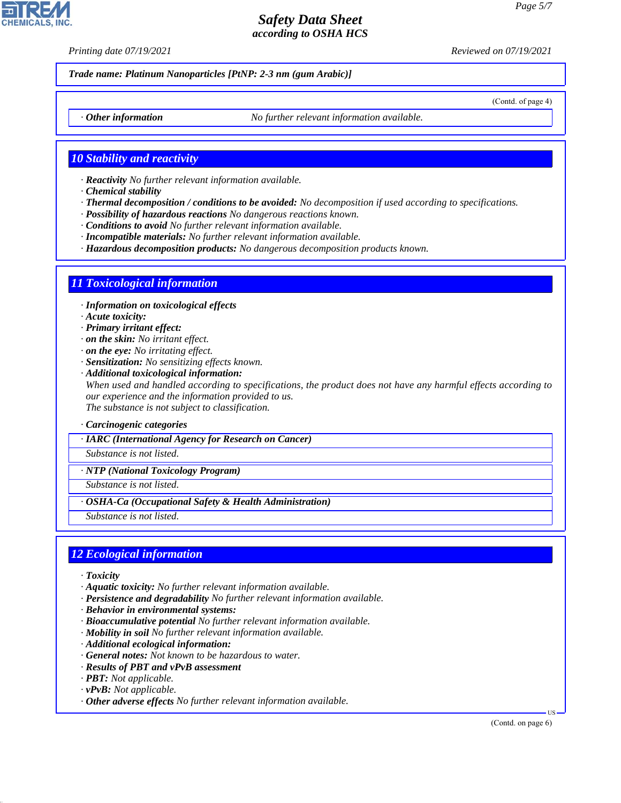*Printing date 07/19/2021 Reviewed on 07/19/2021*

*Trade name: Platinum Nanoparticles [PtNP: 2-3 nm (gum Arabic)]*

(Contd. of page 4)

*· Other information No further relevant information available.*

### *10 Stability and reactivity*

- *· Reactivity No further relevant information available.*
- *· Chemical stability*
- *· Thermal decomposition / conditions to be avoided: No decomposition if used according to specifications.*
- *· Possibility of hazardous reactions No dangerous reactions known.*
- *· Conditions to avoid No further relevant information available.*
- *· Incompatible materials: No further relevant information available.*
- *· Hazardous decomposition products: No dangerous decomposition products known.*

#### *11 Toxicological information*

*· Information on toxicological effects*

- *· Acute toxicity:*
- *· Primary irritant effect:*
- *· on the skin: No irritant effect.*
- *· on the eye: No irritating effect.*
- *· Sensitization: No sensitizing effects known.*
- *· Additional toxicological information: When used and handled according to specifications, the product does not have any harmful effects according to our experience and the information provided to us. The substance is not subject to classification.*
- *· Carcinogenic categories*
- *· IARC (International Agency for Research on Cancer)*

*Substance is not listed.*

*· NTP (National Toxicology Program)*

*Substance is not listed.*

*· OSHA-Ca (Occupational Safety & Health Administration)*

*Substance is not listed.*

### *12 Ecological information*

*· Toxicity*

44.1.1

- *· Aquatic toxicity: No further relevant information available.*
- *· Persistence and degradability No further relevant information available.*
- *· Behavior in environmental systems:*
- *· Bioaccumulative potential No further relevant information available.*
- *· Mobility in soil No further relevant information available.*
- *· Additional ecological information:*
- *· General notes: Not known to be hazardous to water.*
- *· Results of PBT and vPvB assessment*
- *· PBT: Not applicable.*
- *· vPvB: Not applicable.*
- *· Other adverse effects No further relevant information available.*

(Contd. on page 6)

US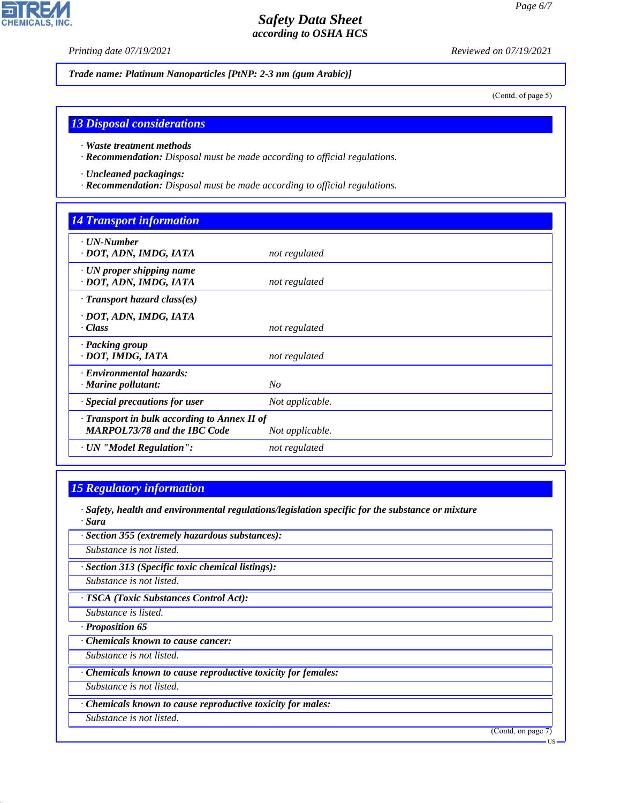**CHEMICALS, INC.** 

*Printing date 07/19/2021 Reviewed on 07/19/2021*

*Trade name: Platinum Nanoparticles [PtNP: 2-3 nm (gum Arabic)]*

(Contd. of page 5)

### *13 Disposal considerations*

- *· Waste treatment methods*
- *· Recommendation: Disposal must be made according to official regulations.*
- *· Uncleaned packagings:*
- *· Recommendation: Disposal must be made according to official regulations.*

### *14 Transport information*

| $\cdot$ UN-Number<br>· DOT, ADN, IMDG, IATA                                                            | not regulated   |
|--------------------------------------------------------------------------------------------------------|-----------------|
| $\cdot$ UN proper shipping name<br>· DOT, ADN, IMDG, IATA                                              | not regulated   |
| $\cdot$ Transport hazard class(es)                                                                     |                 |
| · DOT, ADN, IMDG, IATA<br>· Class                                                                      | not regulated   |
| · Packing group<br>· DOT, IMDG, IATA                                                                   | not regulated   |
| · Environmental hazards:<br>$\cdot$ Marine pollutant:                                                  | N <sub>O</sub>  |
| · Special precautions for user                                                                         | Not applicable. |
| · Transport in bulk according to Annex II of<br><b>MARPOL73/78 and the IBC Code</b><br>Not applicable. |                 |
| · UN "Model Regulation":                                                                               | not regulated   |

### *15 Regulatory information*

- *· Safety, health and environmental regulations/legislation specific for the substance or mixture · Sara*
- *· Section 355 (extremely hazardous substances):*

*Substance is not listed.*

*· Section 313 (Specific toxic chemical listings):*

*Substance is not listed.*

*· TSCA (Toxic Substances Control Act):*

*Substance is listed.*

*· Proposition 65*

*· Chemicals known to cause cancer:*

*Substance is not listed.*

*· Chemicals known to cause reproductive toxicity for females:*

*Substance is not listed.*

*· Chemicals known to cause reproductive toxicity for males:*

*Substance is not listed.*

44.1.1

(Contd. on page 7)

US